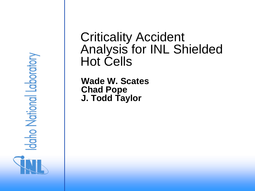daho National Laboratory

#### Criticality Accident Analysis for INL Shielded Hot Cells

**Wade W. Scates Chad Pope J. Todd Taylor**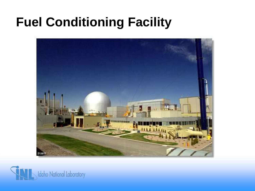# **Fuel Conditioning Facility**



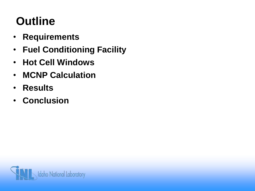## **Outline**

- **Requirements**
- **Fuel Conditioning Facility**
- **Hot Cell Windows**
- **MCNP Calculation**
- **Results**
- **Conclusion**

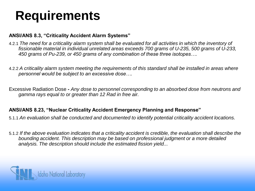# **Requirements**

#### **ANSI/ANS 8.3, "Criticality Accident Alarm Systems"**

- 4.2.1 *The need for a criticality alarm system shall be evaluated for all activities in which the inventory of fissionable material in individual unrelated areas exceeds 700 grams of U-235, 500 grams of U-233, 450 grams of Pu-239, or 450 grams of any combination of these three isotopes….*
- 4.2.2 *A criticality alarm system meeting the requirements of this standard shall be installed in areas where personnel would be subject to an excessive dose….*
- Excessive Radiation Dose **-** *Any dose to personnel corresponding to an absorbed dose from neutrons and gamma rays equal to or greater than 12 Rad in free air.*

#### **ANSI/ANS 8.23, "Nuclear Criticality Accident Emergency Planning and Response"**

- 5.1.1 *An evaluation shall be conducted and documented to identify potential criticality accident locations.*
- 5.1.2 *If the above evaluation indicates that a criticality accident is credible, the evaluation shall describe the bounding accident. This description may be based on professional judgment or a more detailed analysis. The description should include the estimated fission yield...*

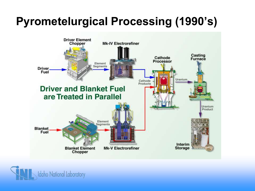## **Pyrometelurgical Processing (1990's)**



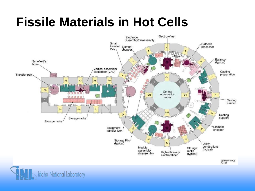# **Fissile Materials in Hot Cells**



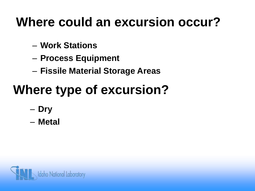# **Where could an excursion occur?**

- **Work Stations**
- **Process Equipment**
- **Fissile Material Storage Areas**

# **Where type of excursion?**

- **Dry**
- **Metal**

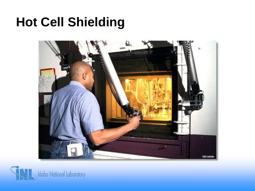# **Hot Cell Shielding**



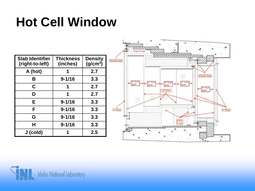# **Hot Cell Window**

| <b>Slab Identifier</b><br>(right-to-left) | <b>Thickness</b><br>(inches) | <b>Density</b><br>(g/cm <sup>3</sup> ) |
|-------------------------------------------|------------------------------|----------------------------------------|
| A (hot)                                   |                              | 2.7                                    |
| В                                         | $9 - 1/16$                   | 3.3                                    |
| C                                         |                              | 2.7                                    |
| D                                         | 1                            | 2.7                                    |
| Е                                         | $9 - 1/16$                   | 3.3                                    |
| F                                         | $9 - 1/16$                   | 3.3                                    |
| G                                         | $9 - 1/16$                   | 3.3                                    |
| н                                         | $9 - 1/16$                   | 3.3                                    |
| J (cold)                                  |                              | 2.5                                    |



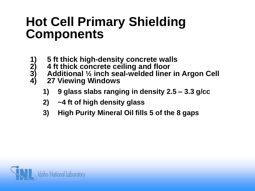## **Hot Cell Primary Shielding Components**

- 
- 1) 5 ft thick high-density concrete walls<br>
2) 4 ft thick concrete ceiling and floor<br>
3) Additional 1/2 inch seal-welded liner in<br>
4) 27 Viewing Windows **2) 4 ft thick concrete ceiling and floor**
- **3) Additional ½ inch seal-welded liner in Argon Cell**
	- **4) 27 Viewing Windows**
		- **1) 9 glass slabs ranging in density 2.5 – 3.3 g/cc**
		- **2) ~4 ft of high density glass**
		- **3) High Purity Mineral Oil fills 5 of the 8 gaps**

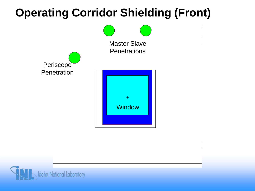# **Operating Corridor Shielding (Front)**

**Window** Master Slave **Penetrations** 



**Periscope Penetration**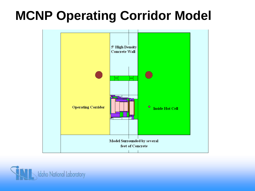# **MCNP Operating Corridor Model**



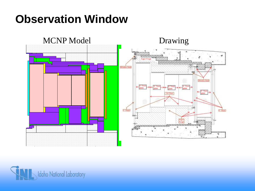#### **Observation Window**



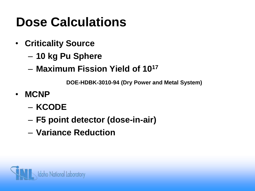# **Dose Calculations**

- **Criticality Source**
	- **10 kg Pu Sphere**
	- **Maximum Fission Yield of 10<sup>17</sup>**

**DOE-HDBK-3010-94 (Dry Power and Metal System)**

- **MCNP**
	- **KCODE**
	- **F5 point detector (dose-in-air)**
	- **Variance Reduction**

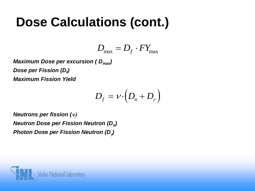# **Dose Calculations (cont.)**

$$
D_{\max} = D_f \cdot FY_{\max}
$$

*Maximum Dose per excursion ( Dmax) Dose per Fission (D<sup>f</sup> ) Maximum Fission Yield*

$$
D_f = v \cdot \left( D_n + D_\gamma \right)
$$

*Neutrons per fission (v) Neutron Dose per Fission Neutron (D<sup>n</sup> ) Photon Dose per Fission Neutron (D*<sup>g</sup> *)*

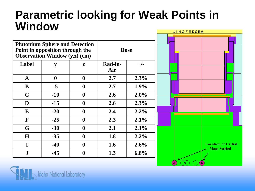#### **Parametric looking for Weak Points in Window JIHGFEDCBA**



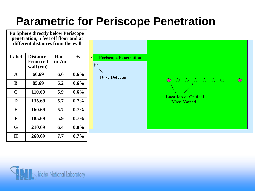#### **Parametric for Periscope Penetration**



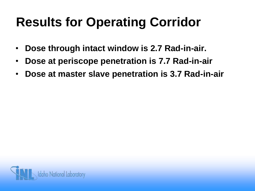# **Results for Operating Corridor**

- **Dose through intact window is 2.7 Rad-in-air.**
- **Dose at periscope penetration is 7.7 Rad-in-air**
- **Dose at master slave penetration is 3.7 Rad-in-air**